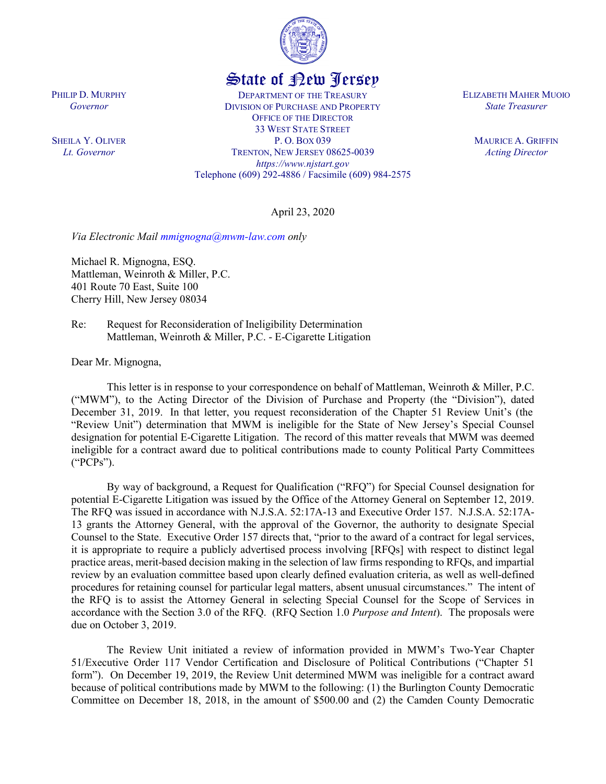

## State of New Jersey

DEPARTMENT OF THE TREASURY DIVISION OF PURCHASE AND PROPERTY OFFICE OF THE DIRECTOR 33 WEST STATE STREET P. O. BOX 039 TRENTON, NEW JERSEY 08625-0039 *https://www.njstart.gov* Telephone (609) 292-4886 / Facsimile (609) 984-2575 ELIZABETH MAHER MUOIO *State Treasurer*

> MAURICE A. GRIFFIN *Acting Director*

April 23, 2020

*Via Electronic Mail [mmignogna@mwm-law.com](mailto:mmignogna@mwm-law.com) only*

Michael R. Mignogna, ESQ. Mattleman, Weinroth & Miller, P.C. 401 Route 70 East, Suite 100 Cherry Hill, New Jersey 08034

Re: Request for Reconsideration of Ineligibility Determination Mattleman, Weinroth & Miller, P.C. - E-Cigarette Litigation

Dear Mr. Mignogna,

This letter is in response to your correspondence on behalf of Mattleman, Weinroth & Miller, P.C. ("MWM"), to the Acting Director of the Division of Purchase and Property (the "Division"), dated December 31, 2019. In that letter, you request reconsideration of the Chapter 51 Review Unit's (the "Review Unit") determination that MWM is ineligible for the State of New Jersey's Special Counsel designation for potential E-Cigarette Litigation. The record of this matter reveals that MWM was deemed ineligible for a contract award due to political contributions made to county Political Party Committees ("PCPs").

By way of background, a Request for Qualification ("RFQ") for Special Counsel designation for potential E-Cigarette Litigation was issued by the Office of the Attorney General on September 12, 2019. The RFQ was issued in accordance with N.J.S.A. 52:17A-13 and Executive Order 157. N.J.S.A. 52:17A-13 grants the Attorney General, with the approval of the Governor, the authority to designate Special Counsel to the State. Executive Order 157 directs that, "prior to the award of a contract for legal services, it is appropriate to require a publicly advertised process involving [RFQs] with respect to distinct legal practice areas, merit-based decision making in the selection of law firms responding to RFQs, and impartial review by an evaluation committee based upon clearly defined evaluation criteria, as well as well-defined procedures for retaining counsel for particular legal matters, absent unusual circumstances." The intent of the RFQ is to assist the Attorney General in selecting Special Counsel for the Scope of Services in accordance with the Section 3.0 of the RFQ. (RFQ Section 1.0 *Purpose and Intent*). The proposals were due on October 3, 2019.

The Review Unit initiated a review of information provided in MWM's Two-Year Chapter 51/Executive Order 117 Vendor Certification and Disclosure of Political Contributions ("Chapter 51 form"). On December 19, 2019, the Review Unit determined MWM was ineligible for a contract award because of political contributions made by MWM to the following: (1) the Burlington County Democratic Committee on December 18, 2018, in the amount of \$500.00 and (2) the Camden County Democratic

PHILIP D. MURPHY *Governor*

SHEILA Y. OLIVER *Lt. Governor*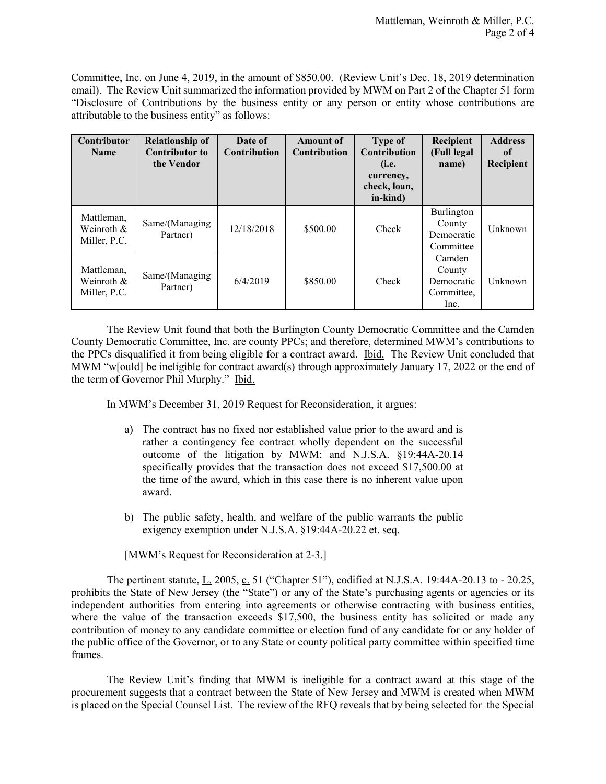Committee, Inc. on June 4, 2019, in the amount of \$850.00. (Review Unit's Dec. 18, 2019 determination email). The Review Unit summarized the information provided by MWM on Part 2 of the Chapter 51 form "Disclosure of Contributions by the business entity or any person or entity whose contributions are attributable to the business entity" as follows:

| <b>Contributor</b><br><b>Name</b>        | <b>Relationship of</b><br><b>Contributor to</b><br>the Vendor | Date of<br><b>Contribution</b> | <b>Amount of</b><br><b>Contribution</b> | Type of<br><b>Contribution</b><br>(i.e.<br>currency,<br>check, loan,<br>in-kind) | Recipient<br>(Full legal<br>name)                    | <b>Address</b><br>of<br>Recipient |
|------------------------------------------|---------------------------------------------------------------|--------------------------------|-----------------------------------------|----------------------------------------------------------------------------------|------------------------------------------------------|-----------------------------------|
| Mattleman,<br>Weinroth &<br>Miller, P.C. | Same/(Managing<br>Partner)                                    | 12/18/2018                     | \$500.00                                | Check                                                                            | Burlington<br>County<br>Democratic<br>Committee      | Unknown                           |
| Mattleman,<br>Weinroth &<br>Miller, P.C. | Same/(Managing<br>Partner)                                    | 6/4/2019                       | \$850.00                                | Check                                                                            | Camden<br>County<br>Democratic<br>Committee,<br>Inc. | Unknown                           |

The Review Unit found that both the Burlington County Democratic Committee and the Camden County Democratic Committee, Inc. are county PPCs; and therefore, determined MWM's contributions to the PPCs disqualified it from being eligible for a contract award. Ibid. The Review Unit concluded that MWM "w[ould] be ineligible for contract award(s) through approximately January 17, 2022 or the end of the term of Governor Phil Murphy." Ibid.

In MWM's December 31, 2019 Request for Reconsideration, it argues:

- a) The contract has no fixed nor established value prior to the award and is rather a contingency fee contract wholly dependent on the successful outcome of the litigation by MWM; and N.J.S.A. §19:44A-20.14 specifically provides that the transaction does not exceed \$17,500.00 at the time of the award, which in this case there is no inherent value upon award.
- b) The public safety, health, and welfare of the public warrants the public exigency exemption under N.J.S.A. §19:44A-20.22 et. seq.

[MWM's Request for Reconsideration at 2-3.]

The pertinent statute, L. 2005, c. 51 ("Chapter 51"), codified at N.J.S.A. 19:44A-20.13 to - 20.25, prohibits the State of New Jersey (the "State") or any of the State's purchasing agents or agencies or its independent authorities from entering into agreements or otherwise contracting with business entities, where the value of the transaction exceeds \$17,500, the business entity has solicited or made any contribution of money to any candidate committee or election fund of any candidate for or any holder of the public office of the Governor, or to any State or county political party committee within specified time frames.

The Review Unit's finding that MWM is ineligible for a contract award at this stage of the procurement suggests that a contract between the State of New Jersey and MWM is created when MWM is placed on the Special Counsel List. The review of the RFQ reveals that by being selected for the Special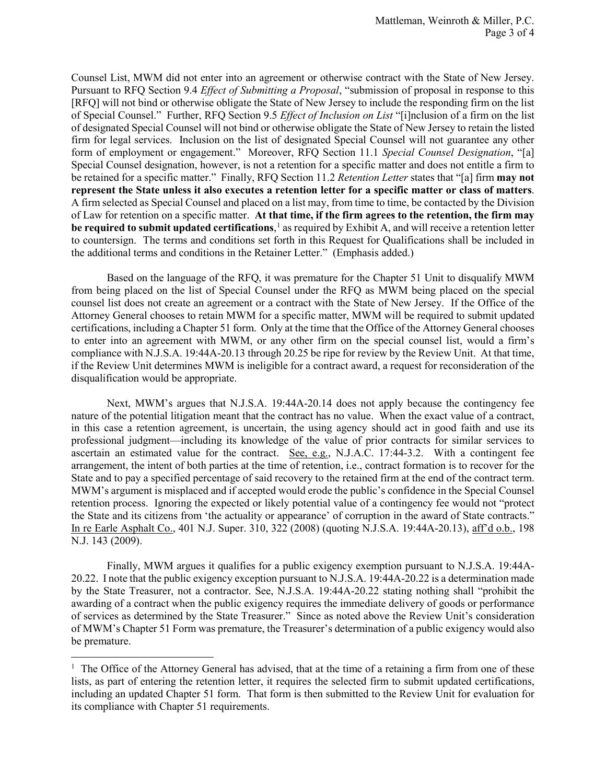Counsel List, MWM did not enter into an agreement or otherwise contract with the State of New Jersey. Pursuant to RFQ Section 9.4 *Effect of Submitting a Proposal*, "submission of proposal in response to this [RFQ] will not bind or otherwise obligate the State of New Jersey to include the responding firm on the list of Special Counsel." Further, RFQ Section 9.5 *Effect of Inclusion on List* "[i]nclusion of a firm on the list of designated Special Counsel will not bind or otherwise obligate the State of New Jersey to retain the listed firm for legal services. Inclusion on the list of designated Special Counsel will not guarantee any other form of employment or engagement." Moreover, RFQ Section 11.1 *Special Counsel Designation*, "[a] Special Counsel designation, however, is not a retention for a specific matter and does not entitle a firm to be retained for a specific matter." Finally, RFQ Section 11.2 *Retention Letter* states that "[a] firm **may not represent the State unless it also executes a retention letter for a specific matter or class of matters**. A firm selected as Special Counsel and placed on a list may, from time to time, be contacted by the Division of Law for retention on a specific matter. **At that time, if the firm agrees to the retention, the firm may be required to submit updated certifications**, [1](#page-2-0) as required by Exhibit A, and will receive a retention letter to countersign. The terms and conditions set forth in this Request for Qualifications shall be included in the additional terms and conditions in the Retainer Letter." (Emphasis added.)

Based on the language of the RFQ, it was premature for the Chapter 51 Unit to disqualify MWM from being placed on the list of Special Counsel under the RFQ as MWM being placed on the special counsel list does not create an agreement or a contract with the State of New Jersey. If the Office of the Attorney General chooses to retain MWM for a specific matter, MWM will be required to submit updated certifications, including a Chapter 51 form. Only at the time that the Office of the Attorney General chooses to enter into an agreement with MWM, or any other firm on the special counsel list, would a firm's compliance with N.J.S.A. 19:44A-20.13 through 20.25 be ripe for review by the Review Unit. At that time, if the Review Unit determines MWM is ineligible for a contract award, a request for reconsideration of the disqualification would be appropriate.

Next, MWM's argues that N.J.S.A. 19:44A-20.14 does not apply because the contingency fee nature of the potential litigation meant that the contract has no value. When the exact value of a contract, in this case a retention agreement, is uncertain, the using agency should act in good faith and use its professional judgment—including its knowledge of the value of prior contracts for similar services to ascertain an estimated value for the contract. See, e.g., N.J.A.C. 17:44-3.2. With a contingent fee arrangement, the intent of both parties at the time of retention, i.e., contract formation is to recover for the State and to pay a specified percentage of said recovery to the retained firm at the end of the contract term. MWM's argument is misplaced and if accepted would erode the public's confidence in the Special Counsel retention process. Ignoring the expected or likely potential value of a contingency fee would not "protect the State and its citizens from 'the actuality or appearance' of corruption in the award of State contracts." In re Earle Asphalt Co., 401 N.J. Super. 310, 322 (2008) (quoting N.J.S.A. 19:44A-20.13), aff'd o.b., 198 N.J. 143 (2009).

Finally, MWM argues it qualifies for a public exigency exemption pursuant to N.J.S.A. 19:44A-20.22. I note that the public exigency exception pursuant to N.J.S.A. 19:44A-20.22 is a determination made by the State Treasurer, not a contractor. See, N.J.S.A. 19:44A-20.22 stating nothing shall "prohibit the awarding of a contract when the public exigency requires the immediate delivery of goods or performance of services as determined by the State Treasurer." Since as noted above the Review Unit's consideration of MWM's Chapter 51 Form was premature, the Treasurer's determination of a public exigency would also be premature.

 $\overline{a}$ 

<span id="page-2-0"></span> $1$  The Office of the Attorney General has advised, that at the time of a retaining a firm from one of these lists, as part of entering the retention letter, it requires the selected firm to submit updated certifications, including an updated Chapter 51 form. That form is then submitted to the Review Unit for evaluation for its compliance with Chapter 51 requirements.